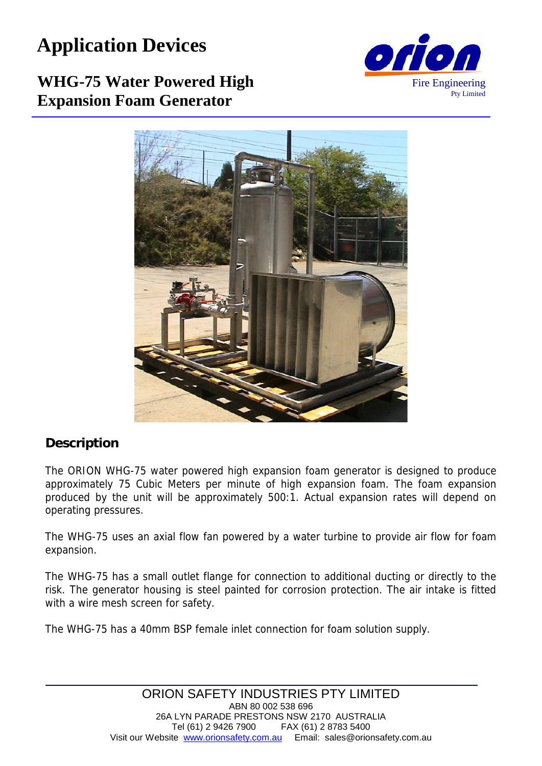## **Application Devices**

# Fire Engineering Pty Limited

### **WHG-75 Water Powered High Expansion Foam Generator**



#### **Description**

The ORION WHG-75 water powered high expansion foam generator is designed to produce approximately 75 Cubic Meters per minute of high expansion foam. The foam expansion produced by the unit will be approximately 500:1. Actual expansion rates will depend on operating pressures.

The WHG-75 uses an axial flow fan powered by a water turbine to provide air flow for foam expansion.

The WHG-75 has a small outlet flange for connection to additional ducting or directly to the risk. The generator housing is steel painted for corrosion protection. The air intake is fitted with a wire mesh screen for safety.

The WHG-75 has a 40mm BSP female inlet connection for foam solution supply.